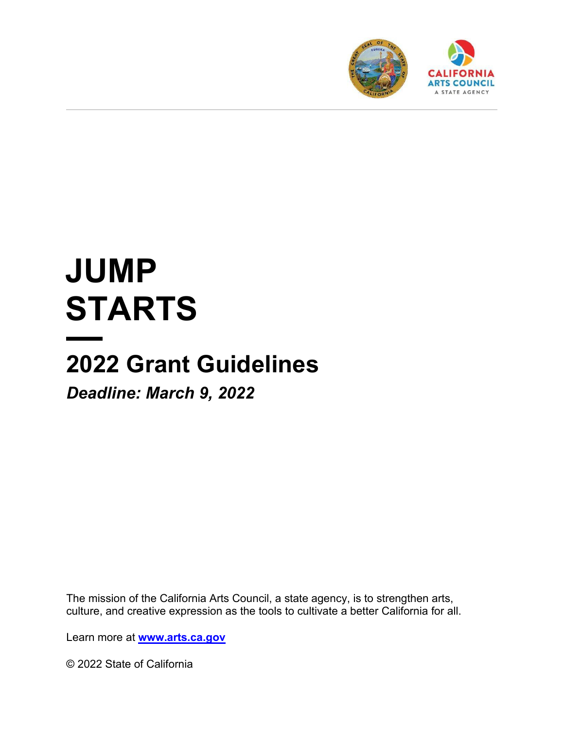

# **JUMP STARTS**

## **2022 Grant Guidelines**

*Deadline: March 9, 2022* 

The mission of the California Arts Council, a state agency, is to strengthen arts, culture, and creative expression as the tools to cultivate a better California for all.

Learn more at **[www.arts.ca.gov](http://www.arts.ca.gov/)**

© 2022 State of California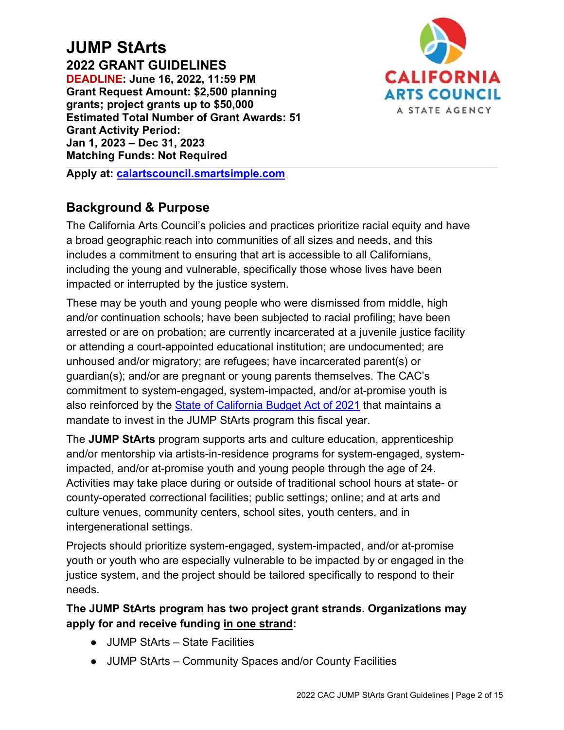#### **JUMP StArts 2022 GRANT GUIDELINES DEADLINE: June 16, 2022, 11:59 PM Grant Request Amount: \$2,500 planning grants; project grants up to \$50,000 Estimated Total Number of Grant Awards: 51 Grant Activity Period: Jan 1, 2023 – Dec 31, 2023 Matching Funds: Not Required**



**Apply at: [calartscouncil.smartsimple.com](https://calartscouncil.smartsimple.com/)**

## **Background & Purpose**

The California Arts Council's policies and practices prioritize racial equity and have a broad geographic reach into communities of all sizes and needs, and this includes a commitment to ensuring that art is accessible to all Californians, including the young and vulnerable, specifically those whose lives have been impacted or interrupted by the justice system.

These may be youth and young people who were dismissed from middle, high and/or continuation schools; have been subjected to racial profiling; have been arrested or are on probation; are currently incarcerated at a juvenile justice facility or attending a court-appointed educational institution; are undocumented; are unhoused and/or migratory; are refugees; have incarcerated parent(s) or guardian(s); and/or are pregnant or young parents themselves. The CAC's commitment to system-engaged, system-impacted, and/or at-promise youth is also reinforced by the [State of California Budget Act of 2021](https://www.ebudget.ca.gov/2021-22/pdf/Enacted/BudgetSummary/FullBudgetSummary.pdf#page=184) that maintains a mandate to invest in the JUMP StArts program this fiscal year.

The **JUMP StArts** program supports arts and culture education, apprenticeship and/or mentorship via artists-in-residence programs for system-engaged, systemimpacted, and/or at-promise youth and young people through the age of 24. Activities may take place during or outside of traditional school hours at state- or county-operated correctional facilities; public settings; online; and at arts and culture venues, community centers, school sites, youth centers, and in intergenerational settings.

Projects should prioritize system-engaged, system-impacted, and/or at-promise youth or youth who are especially vulnerable to be impacted by or engaged in the justice system, and the project should be tailored specifically to respond to their needs.

**The JUMP StArts program has two project grant strands. Organizations may apply for and receive funding in one strand:** 

- JUMP StArts State Facilities
- JUMP StArts Community Spaces and/or County Facilities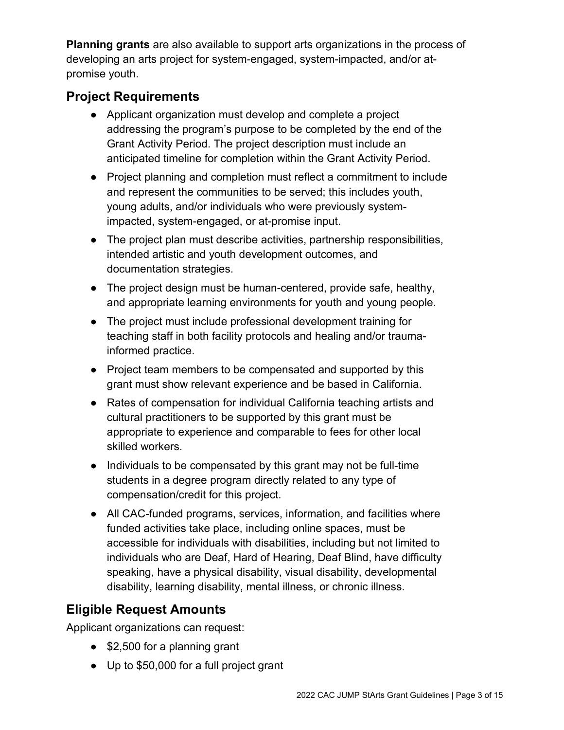**Planning grants** are also available to support arts organizations in the process of developing an arts project for system-engaged, system-impacted, and/or atpromise youth.

## **Project Requirements**

- Applicant organization must develop and complete a project addressing the program's purpose to be completed by the end of the Grant Activity Period. The project description must include an anticipated timeline for completion within the Grant Activity Period.
- Project planning and completion must reflect a commitment to include and represent the communities to be served; this includes youth, young adults, and/or individuals who were previously systemimpacted, system-engaged, or at-promise input.
- The project plan must describe activities, partnership responsibilities, intended artistic and youth development outcomes, and documentation strategies.
- The project design must be human-centered, provide safe, healthy, and appropriate learning environments for youth and young people.
- The project must include professional development training for teaching staff in both facility protocols and healing and/or traumainformed practice.
- Project team members to be compensated and supported by this grant must show relevant experience and be based in California.
- Rates of compensation for individual California teaching artists and cultural practitioners to be supported by this grant must be appropriate to experience and comparable to fees for other local skilled workers.
- Individuals to be compensated by this grant may not be full-time students in a degree program directly related to any type of compensation/credit for this project.
- All CAC-funded programs, services, information, and facilities where funded activities take place, including online spaces, must be accessible for individuals with disabilities, including but not limited to individuals who are Deaf, Hard of Hearing, Deaf Blind, have difficulty speaking, have a physical disability, visual disability, developmental disability, learning disability, mental illness, or chronic illness.

## **Eligible Request Amounts**

Applicant organizations can request:

- \$2,500 for a planning grant
- Up to \$50,000 for a full project grant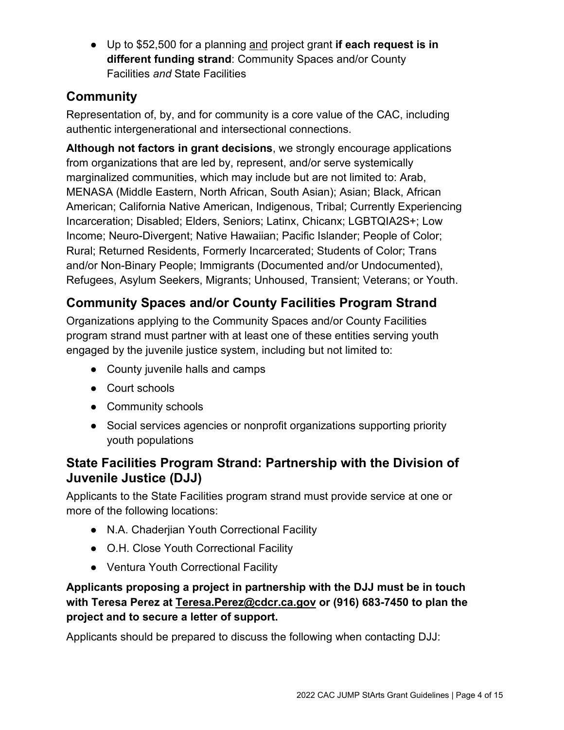● Up to \$52,500 for a planning and project grant **if each request is in different funding strand**: Community Spaces and/or County Facilities *and* State Facilities

## **Community**

Representation of, by, and for community is a core value of the CAC, including authentic intergenerational and intersectional connections.

**Although not factors in grant decisions**, we strongly encourage applications from organizations that are led by, represent, and/or serve systemically marginalized communities, which may include but are not limited to: Arab, MENASA (Middle Eastern, North African, South Asian); Asian; Black, African American; California Native American, Indigenous, Tribal; Currently Experiencing Incarceration; Disabled; Elders, Seniors; Latinx, Chicanx; LGBTQIA2S+; Low Income; Neuro-Divergent; Native Hawaiian; Pacific Islander; People of Color; Rural; Returned Residents, Formerly Incarcerated; Students of Color; Trans and/or Non-Binary People; Immigrants (Documented and/or Undocumented), Refugees, Asylum Seekers, Migrants; Unhoused, Transient; Veterans; or Youth.

## **Community Spaces and/or County Facilities Program Strand**

Organizations applying to the Community Spaces and/or County Facilities program strand must partner with at least one of these entities serving youth engaged by the juvenile justice system, including but not limited to:

- County juvenile halls and camps
- Court schools
- Community schools
- Social services agencies or nonprofit organizations supporting priority youth populations

## **State Facilities Program Strand: Partnership with the Division of Juvenile Justice (DJJ)**

Applicants to the State Facilities program strand must provide service at one or more of the following locations:

- N.A. Chaderjian Youth Correctional Facility
- O.H. Close Youth Correctional Facility
- Ventura Youth Correctional Facility

#### **Applicants proposing a project in partnership with the DJJ must be in touch with Teresa Perez at [Teresa.Perez@cdcr.ca.gov](mailto:Teresa.Perez@cdcr.ca.gov) or (916) 683-7450 to plan the project and to secure a letter of support.**

Applicants should be prepared to discuss the following when contacting DJJ: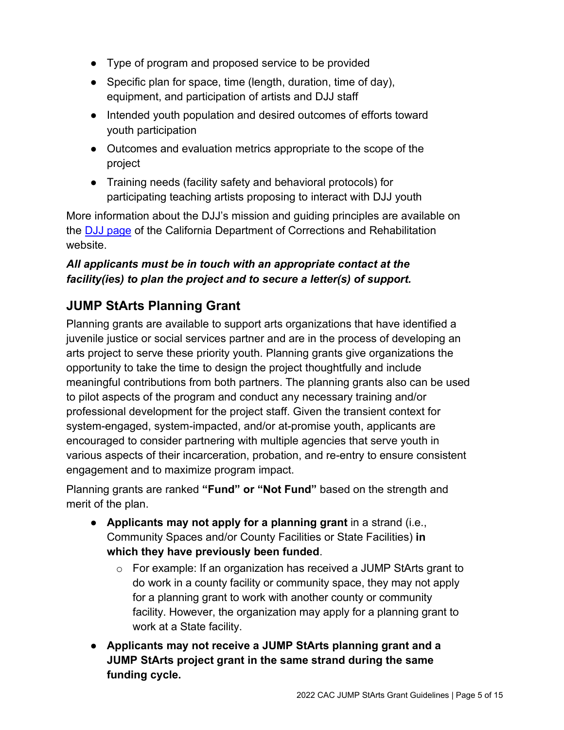- Type of program and proposed service to be provided
- Specific plan for space, time (length, duration, time of day), equipment, and participation of artists and DJJ staff
- Intended youth population and desired outcomes of efforts toward youth participation
- Outcomes and evaluation metrics appropriate to the scope of the project
- Training needs (facility safety and behavioral protocols) for participating teaching artists proposing to interact with DJJ youth

More information about the DJJ's mission and guiding principles are available on the [DJJ page](https://www.cdcr.ca.gov/juvenile-justice/) of the California Department of Corrections and Rehabilitation website.

#### *All applicants must be in touch with an appropriate contact at the facility(ies) to plan the project and to secure a letter(s) of support.*

## **JUMP StArts Planning Grant**

Planning grants are available to support arts organizations that have identified a juvenile justice or social services partner and are in the process of developing an arts project to serve these priority youth. Planning grants give organizations the opportunity to take the time to design the project thoughtfully and include meaningful contributions from both partners. The planning grants also can be used to pilot aspects of the program and conduct any necessary training and/or professional development for the project staff. Given the transient context for system-engaged, system-impacted, and/or at-promise youth, applicants are encouraged to consider partnering with multiple agencies that serve youth in various aspects of their incarceration, probation, and re-entry to ensure consistent engagement and to maximize program impact.

Planning grants are ranked **"Fund" or "Not Fund"** based on the strength and merit of the plan.

- **Applicants may not apply for a planning grant** in a strand (i.e., Community Spaces and/or County Facilities or State Facilities) **in which they have previously been funded**.
	- $\circ$  For example: If an organization has received a JUMP StArts grant to do work in a county facility or community space, they may not apply for a planning grant to work with another county or community facility. However, the organization may apply for a planning grant to work at a State facility.
- **Applicants may not receive a JUMP StArts planning grant and a JUMP StArts project grant in the same strand during the same funding cycle.**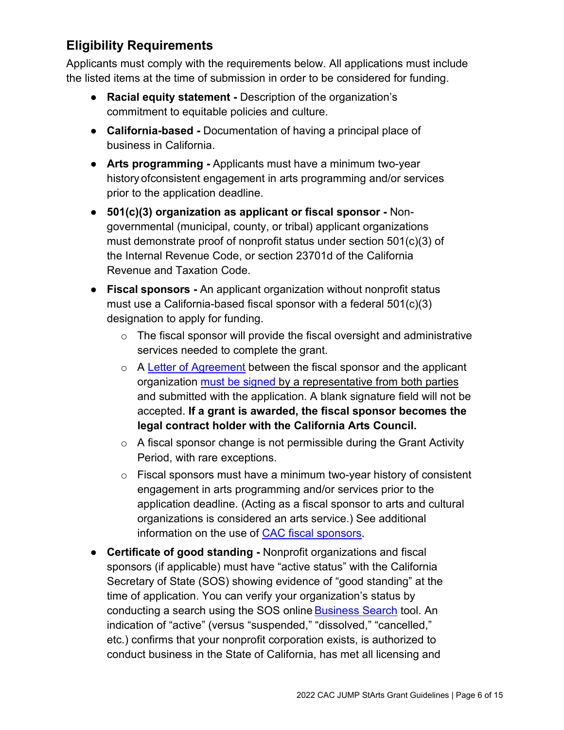## **Eligibility Requirements**

Applicants must comply with the requirements below. All applications must include the listed items at the time of submission in order to be considered for funding.

- **Racial equity statement -** Description of the organization's commitment to equitable policies and culture.
- **California-based** Documentation of having a principal place of business in California.
- **Arts programming** Applicants must have a minimum two-year history ofconsistent engagement in arts programming and/or services prior to the application deadline.
- **501(c)(3) organization as applicant or fiscal sponsor** Nongovernmental (municipal, county, or tribal) applicant organizations must demonstrate proof of nonprofit status under section 501(c)(3) of the Internal Revenue Code, or section 23701d of the California Revenue and Taxation Code.
- **Fiscal sponsors** An applicant organization without nonprofit status must use a California-based fiscal sponsor with a federal 501(c)(3) designation to apply for funding.
	- $\circ$  The fiscal sponsor will provide the fiscal oversight and administrative services needed to complete the grant.
	- o A [Letter of Agreement](https://arts.ca.gov/fiscalsponsorletter/) between the fiscal sponsor and the applicant organization [must be signed](https://arts.ca.gov/definitionofasignature/) by a representative from both parties and submitted with the application. A blank signature field will not be accepted. **If a grant is awarded, the fiscal sponsor becomes the legal contract holder with the California Arts Council.**
	- $\circ$  A fiscal sponsor change is not permissible during the Grant Activity Period, with rare exceptions.
	- $\circ$  Fiscal sponsors must have a minimum two-year history of consistent engagement in arts programming and/or services prior to the application deadline. (Acting as a fiscal sponsor to arts and cultural organizations is considered an arts service.) See additional information on the use of [CAC fiscal sponsors.](https://arts.ca.gov/fiscalsponsorpolicy/)
- **Certificate of good standing** Nonprofit organizations and fiscal sponsors (if applicable) must have "active status" with the California Secretary of State (SOS) showing evidence of "good standing" at the time of application. You can verify your organization's status by conducting a search using the SOS online Business Search tool. An indication of "active" (versus "suspended," "dissolved," "cancelled," etc.) confirms that your nonprofit corporation exists, is authorized to conduct business in the State of California, has met all licensing and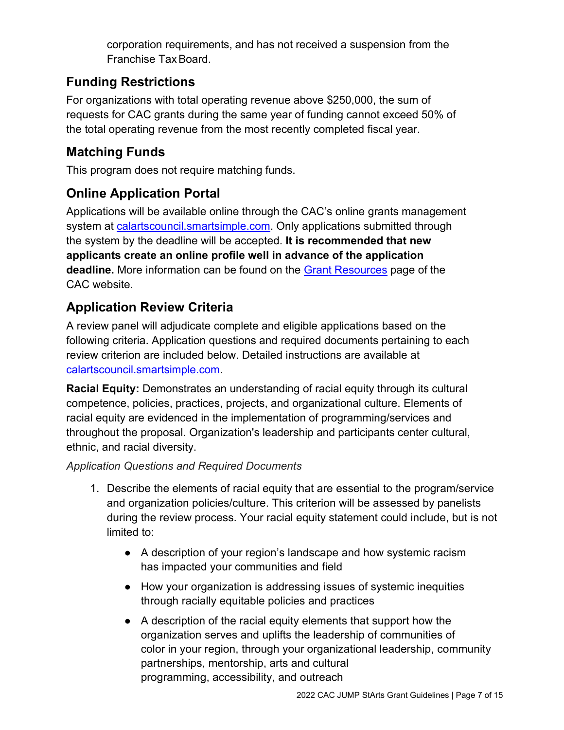corporation requirements, and has not received a suspension from the Franchise TaxBoard.

## **Funding Restrictions**

For organizations with total operating revenue above \$250,000, the sum of requests for CAC grants during the same year of funding cannot exceed 50% of the total operating revenue from the most recently completed fiscal year.

## **Matching Funds**

This program does not require matching funds.

## **Online Application Portal**

Applications will be available online through the CAC's online grants management system at [calartscouncil.smartsimple.com.](https://calartscouncil.smartsimple.com/s_Login.jsp) Only applications submitted through the system by the deadline will be accepted. **It is recommended that new applicants create an online profile well in advance of the application deadline.** More information can be found on the Grant [Resources](https://arts.ca.gov/grants/resources/) page of the CAC website.

## **Application Review Criteria**

A review panel will adjudicate complete and eligible applications based on the following criteria. Application questions and required documents pertaining to each review criterion are included below. Detailed instructions are available at [calartscouncil.smartsimple.com.](https://calartscouncil.smartsimple.com/s_Login.jsp)

**Racial Equity:** Demonstrates an understanding of racial equity through its cultural competence, policies, practices, projects, and organizational culture. Elements of racial equity are evidenced in the implementation of programming/services and throughout the proposal. Organization's leadership and participants center cultural, ethnic, and racial diversity.

*Application Questions and Required Documents*

- 1. Describe the elements of racial equity that are essential to the program/service and organization policies/culture. This criterion will be assessed by panelists during the review process. Your racial equity statement could include, but is not limited to:
	- A description of your region's landscape and how systemic racism has impacted your communities and field
	- How your organization is addressing issues of systemic inequities through racially equitable policies and practices
	- A description of the racial equity elements that support how the organization serves and uplifts the leadership of communities of color in your region, through your organizational leadership, community partnerships, mentorship, arts and cultural programming, accessibility, and outreach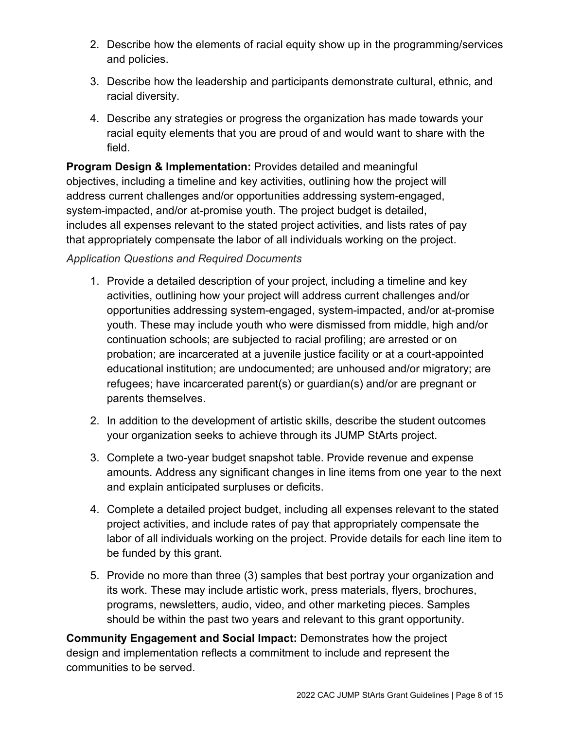- 2. Describe how the elements of racial equity show up in the programming/services and policies.
- 3. Describe how the leadership and participants demonstrate cultural, ethnic, and racial diversity.
- 4. Describe any strategies or progress the organization has made towards your racial equity elements that you are proud of and would want to share with the field.

**Program Design & Implementation:** Provides detailed and meaningful objectives, including a timeline and key activities, outlining how the project will address current challenges and/or opportunities addressing system-engaged, system-impacted, and/or at-promise youth. The project budget is detailed, includes all expenses relevant to the stated project activities, and lists rates of pay that appropriately compensate the labor of all individuals working on the project.

#### *Application Questions and Required Documents*

- 1. Provide a detailed description of your project, including a timeline and key activities, outlining how your project will address current challenges and/or opportunities addressing system-engaged, system-impacted, and/or at-promise youth. These may include youth who were dismissed from middle, high and/or continuation schools; are subjected to racial profiling; are arrested or on probation; are incarcerated at a juvenile justice facility or at a court-appointed educational institution; are undocumented; are unhoused and/or migratory; are refugees; have incarcerated parent(s) or guardian(s) and/or are pregnant or parents themselves.
- 2. In addition to the development of artistic skills, describe the student outcomes your organization seeks to achieve through its JUMP StArts project.
- 3. Complete a two-year budget snapshot table. Provide revenue and expense amounts. Address any significant changes in line items from one year to the next and explain anticipated surpluses or deficits.
- 4. Complete a detailed project budget, including all expenses relevant to the stated project activities, and include rates of pay that appropriately compensate the labor of all individuals working on the project. Provide details for each line item to be funded by this grant.
- 5. Provide no more than three (3) samples that best portray your organization and its work. These may include artistic work, press materials, flyers, brochures, programs, newsletters, audio, video, and other marketing pieces. Samples should be within the past two years and relevant to this grant opportunity.

**Community Engagement and Social Impact:** Demonstrates how the project design and implementation reflects a commitment to include and represent the communities to be served.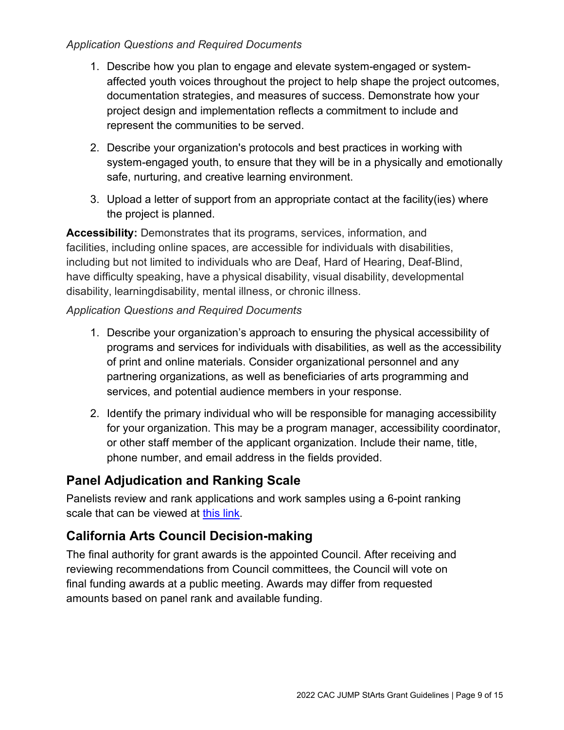#### *Application Questions and Required Documents*

- 1. Describe how you plan to engage and elevate system-engaged or systemaffected youth voices throughout the project to help shape the project outcomes, documentation strategies, and measures of success. Demonstrate how your project design and implementation reflects a commitment to include and represent the communities to be served.
- 2. Describe your organization's protocols and best practices in working with system-engaged youth, to ensure that they will be in a physically and emotionally safe, nurturing, and creative learning environment.
- 3. Upload a letter of support from an appropriate contact at the facility(ies) where the project is planned.

**Accessibility:** Demonstrates that its programs, services, information, and facilities, including online spaces, are accessible for individuals with disabilities, including but not limited to individuals who are Deaf, Hard of Hearing, Deaf-Blind, have difficulty speaking, have a physical disability, visual disability, developmental disability, learningdisability, mental illness, or chronic illness.

#### *Application Questions and Required Documents*

- 1. Describe your organization's approach to ensuring the physical accessibility of programs and services for individuals with disabilities, as well as the accessibility of print and online materials. Consider organizational personnel and any partnering organizations, as well as beneficiaries of arts programming and services, and potential audience members in your response.
- 2. Identify the primary individual who will be responsible for managing accessibility for your organization. This may be a program manager, accessibility coordinator, or other staff member of the applicant organization. Include their name, title, phone number, and email address in the fields provided.

## **Panel Adjudication and Ranking Scale**

Panelists review and rank applications and work samples using a 6-point ranking scale that can be viewed at [this link.](https://arts.ca.gov/rankingguide/)

## **California Arts Council Decision-making**

The final authority for grant awards is the appointed Council. After receiving and reviewing recommendations from Council committees, the Council will vote on final funding awards at a public meeting. Awards may differ from requested amounts based on panel rank and available funding.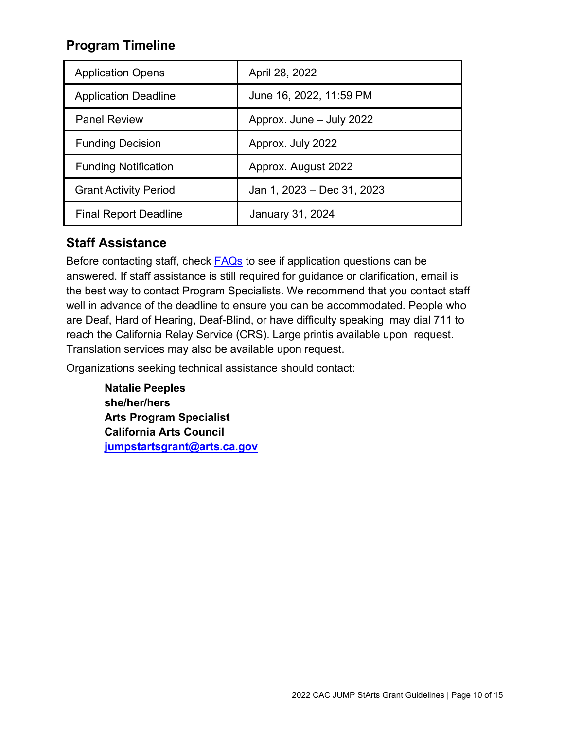## **Program Timeline**

| <b>Application Opens</b>     | April 28, 2022             |
|------------------------------|----------------------------|
| <b>Application Deadline</b>  | June 16, 2022, 11:59 PM    |
| <b>Panel Review</b>          | Approx. June - July 2022   |
| <b>Funding Decision</b>      | Approx. July 2022          |
| <b>Funding Notification</b>  | Approx. August 2022        |
| <b>Grant Activity Period</b> | Jan 1, 2023 – Dec 31, 2023 |
| <b>Final Report Deadline</b> | January 31, 2024           |

## **Staff Assistance**

Before contacting staff, check **FAQs** to see if application questions can be answered. If staff assistance is still required for guidance or clarification, email is the best way to contact Program Specialists. We recommend that you contact staff well in advance of the deadline to ensure you can be accommodated. People who are Deaf, Hard of Hearing, Deaf-Blind, or have difficulty speaking may dial 711 to reach the California Relay Service (CRS). Large printis available upon request. Translation services may also be available upon request.

Organizations seeking technical assistance should contact:

**Natalie Peeples she/her/hers Arts Program Specialist California Arts Council [jumpstartsgrant@arts.ca.gov](mailto:jumpstartsgrant@arts.ca.gov)**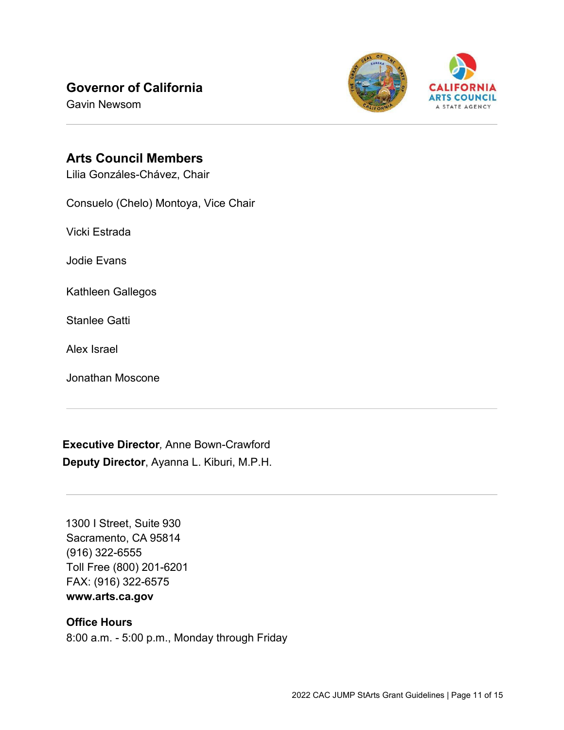## **Governor of California**

Gavin Newsom



## **Arts Council Members**

Lilia Gonzáles-Chávez, Chair

Consuelo (Chelo) Montoya, Vice Chair

Vicki Estrada

Jodie Evans

Kathleen Gallegos

Stanlee Gatti

Alex Israel

Jonathan Moscone

**Executive Director***,* Anne Bown-Crawford **Deputy Director**, Ayanna L. Kiburi, M.P.H.

1300 I Street, Suite 930 Sacramento, CA 95814 (916) 322-6555 Toll Free (800) 201-6201 FAX: (916) 322-6575 **[www.arts.ca.gov](http://www.arts.ca.gov/)**

#### **Office Hours**

8:00 a.m. - 5:00 p.m., Monday through Friday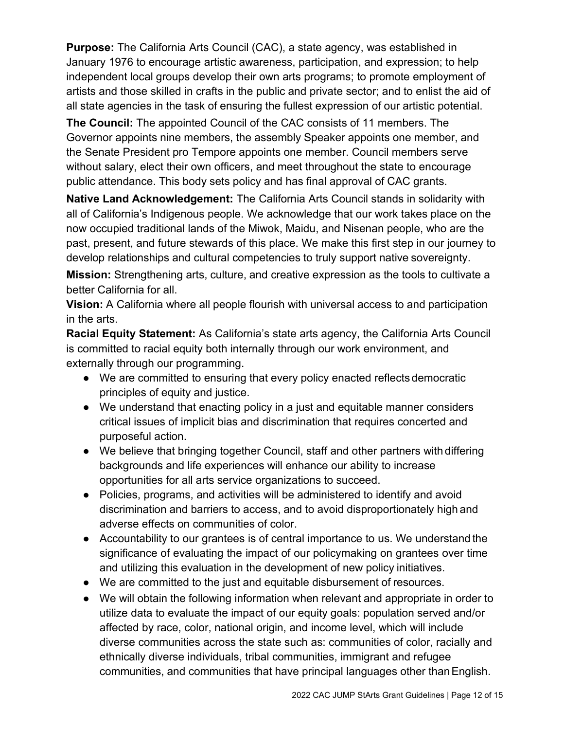**Purpose:** The California Arts Council (CAC), a state agency, was established in January 1976 to encourage artistic awareness, participation, and expression; to help independent local groups develop their own arts programs; to promote employment of artists and those skilled in crafts in the public and private sector; and to enlist the aid of all state agencies in the task of ensuring the fullest expression of our artistic potential.

**The Council:** The appointed Council of the CAC consists of 11 members. The Governor appoints nine members, the assembly Speaker appoints one member, and the Senate President pro Tempore appoints one member. Council members serve without salary, elect their own officers, and meet throughout the state to encourage public attendance. This body sets policy and has final approval of CAC grants.

**Native Land Acknowledgement:** The California Arts Council stands in solidarity with all of California's Indigenous people. We acknowledge that our work takes place on the now occupied traditional lands of the Miwok, Maidu, and Nisenan people, who are the past, present, and future stewards of this place. We make this first step in our journey to develop relationships and cultural competencies to truly support native sovereignty.

**Mission:** Strengthening arts, culture, and creative expression as the tools to cultivate a better California for all.

**Vision:** A California where all people flourish with universal access to and participation in the arts.

**Racial Equity Statement:** As California's state arts agency, the California Arts Council is committed to racial equity both internally through our work environment, and externally through our programming.

- We are committed to ensuring that every policy enacted reflects democratic principles of equity and justice.
- We understand that enacting policy in a just and equitable manner considers critical issues of implicit bias and discrimination that requires concerted and purposeful action.
- We believe that bringing together Council, staff and other partners with differing backgrounds and life experiences will enhance our ability to increase opportunities for all arts service organizations to succeed.
- Policies, programs, and activities will be administered to identify and avoid discrimination and barriers to access, and to avoid disproportionately high and adverse effects on communities of color.
- Accountability to our grantees is of central importance to us. We understand the significance of evaluating the impact of our policymaking on grantees over time and utilizing this evaluation in the development of new policy initiatives.
- We are committed to the just and equitable disbursement of resources.
- We will obtain the following information when relevant and appropriate in order to utilize data to evaluate the impact of our equity goals: population served and/or affected by race, color, national origin, and income level, which will include diverse communities across the state such as: communities of color, racially and ethnically diverse individuals, tribal communities, immigrant and refugee communities, and communities that have principal languages other thanEnglish.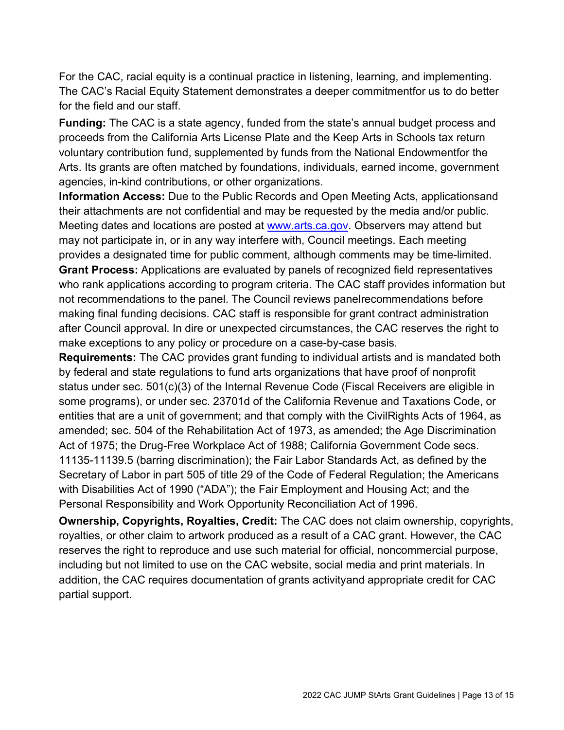For the CAC, racial equity is a continual practice in listening, learning, and implementing. The CAC's Racial Equity Statement demonstrates a deeper commitmentfor us to do better for the field and our staff.

**Funding:** The CAC is a state agency, funded from the state's annual budget process and proceeds from the California Arts License Plate and the Keep Arts in Schools tax return voluntary contribution fund, supplemented by funds from the National Endowmentfor the Arts. Its grants are often matched by foundations, individuals, earned income, government agencies, in-kind contributions, or other organizations.

**Information Access:** Due to the Public Records and Open Meeting Acts, applicationsand their attachments are not confidential and may be requested by the media and/or public. Meeting dates and locations are posted at [www.arts.ca.gov.](http://www.arts.ca.gov/) Observers may attend but may not participate in, or in any way interfere with, Council meetings. Each meeting provides a designated time for public comment, although comments may be time-limited.

**Grant Process:** Applications are evaluated by panels of recognized field representatives who rank applications according to program criteria. The CAC staff provides information but not recommendations to the panel. The Council reviews panelrecommendations before making final funding decisions. CAC staff is responsible for grant contract administration after Council approval. In dire or unexpected circumstances, the CAC reserves the right to make exceptions to any policy or procedure on a case-by-case basis.

**Requirements:** The CAC provides grant funding to individual artists and is mandated both by federal and state regulations to fund arts organizations that have proof of nonprofit status under sec. 501(c)(3) of the Internal Revenue Code (Fiscal Receivers are eligible in some programs), or under sec. 23701d of the California Revenue and Taxations Code, or entities that are a unit of government; and that comply with the CivilRights Acts of 1964, as amended; sec. 504 of the Rehabilitation Act of 1973, as amended; the Age Discrimination Act of 1975; the Drug-Free Workplace Act of 1988; California Government Code secs. 11135-11139.5 (barring discrimination); the Fair Labor Standards Act, as defined by the Secretary of Labor in part 505 of title 29 of the Code of Federal Regulation; the Americans with Disabilities Act of 1990 ("ADA"); the Fair Employment and Housing Act; and the Personal Responsibility and Work Opportunity Reconciliation Act of 1996.

**Ownership, Copyrights, Royalties, Credit:** The CAC does not claim ownership, copyrights, royalties, or other claim to artwork produced as a result of a CAC grant. However, the CAC reserves the right to reproduce and use such material for official, noncommercial purpose, including but not limited to use on the CAC website, social media and print materials. In addition, the CAC requires documentation of grants activityand appropriate credit for CAC partial support.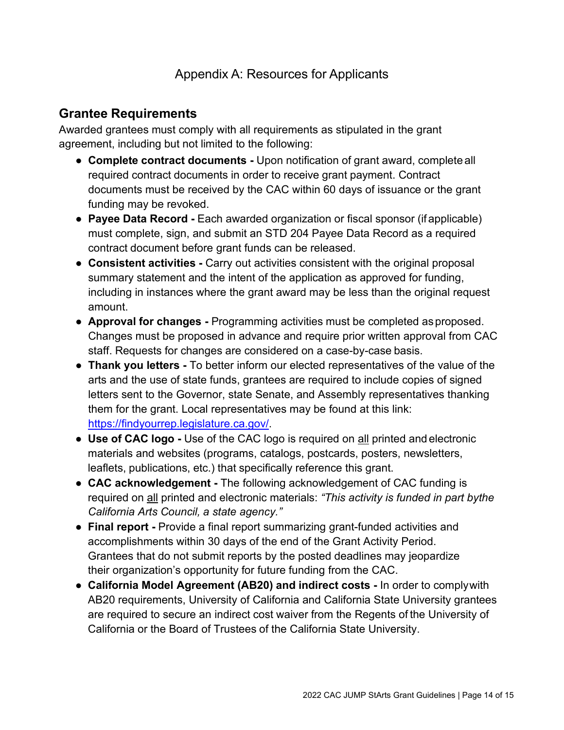## **Grantee Requirements**

Awarded grantees must comply with all requirements as stipulated in the grant agreement, including but not limited to the following:

- **Complete contract documents -** Upon notification of grant award, complete all required contract documents in order to receive grant payment. Contract documents must be received by the CAC within 60 days of issuance or the grant funding may be revoked.
- **Payee Data Record** Each awarded organization or fiscal sponsor (if applicable) must complete, sign, and submit an STD 204 Payee Data Record as a required contract document before grant funds can be released.
- **Consistent activities -** Carry out activities consistent with the original proposal summary statement and the intent of the application as approved for funding, including in instances where the grant award may be less than the original request amount.
- **Approval for changes -** Programming activities must be completed asproposed. Changes must be proposed in advance and require prior written approval from CAC staff. Requests for changes are considered on a case-by-case basis.
- **Thank you letters -** To better inform our elected representatives of the value of the arts and the use of state funds, grantees are required to include copies of signed letters sent to the Governor, state Senate, and Assembly representatives thanking them for the grant. Local representatives may be found at this link: [https://findyourrep.legislature.ca.gov/.](https://findyourrep.legislature.ca.gov/)
- **Use of CAC logo -** Use of the CAC logo is required on all printed and electronic materials and websites (programs, catalogs, postcards, posters, newsletters, leaflets, publications, etc.) that specifically reference this grant.
- **CAC acknowledgement -** The following acknowledgement of CAC funding is required on all printed and electronic materials: *"This activity is funded in part bythe California Arts Council, a state agency."*
- **Final report -** Provide a final report summarizing grant-funded activities and accomplishments within 30 days of the end of the Grant Activity Period. Grantees that do not submit reports by the posted deadlines may jeopardize their organization's opportunity for future funding from the CAC.
- **California Model Agreement (AB20) and indirect costs -** In order to complywith AB20 requirements, University of California and California State University grantees are required to secure an indirect cost waiver from the Regents of the University of California or the Board of Trustees of the California State University.